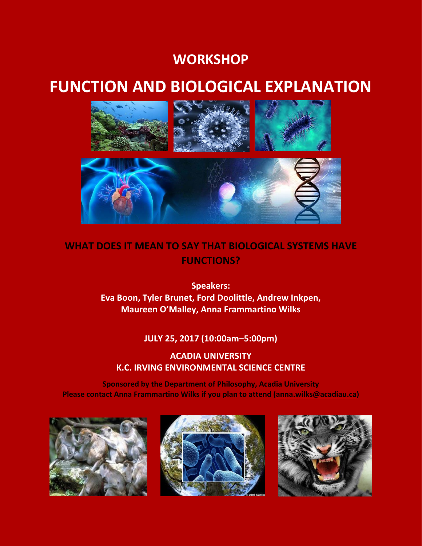# **WORKSHOP**

# **FUNCTION AND BIOLOGICAL EXPLANATION**



# **WHAT DOES IT MEAN TO SAY THAT BIOLOGICAL SYSTEMS HAVE FUNCTIONS?**

**Speakers: Eva Boon, Tyler Brunet, Ford Doolittle, Andrew Inkpen, Maureen O'Malley, Anna Frammartino Wilks**

## **JULY 25, 2017 (10:00am‒5:00pm)**

## **ACADIA UNIVERSITY K.C. IRVING ENVIRONMENTAL SCIENCE CENTRE**

**Sponsored by the Department of Philosophy, Acadia University Please contact Anna Frammartino Wilks if you plan to attend [\(anna.wilks@acadiau.ca\)](mailto:anna.wilks@acadiau.ca)**





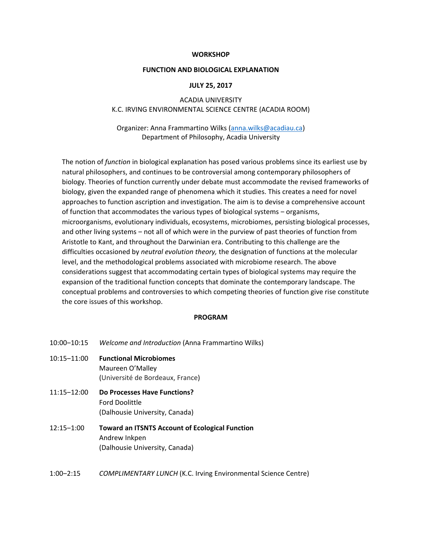#### **WORKSHOP**

#### **FUNCTION AND BIOLOGICAL EXPLANATION**

#### **JULY 25, 2017**

ACADIA UNIVERSITY K.C. IRVING ENVIRONMENTAL SCIENCE CENTRE (ACADIA ROOM)

Organizer: Anna Frammartino Wilks (anna.wilks@acadiau.ca) Department of Philosophy, Acadia University

The notion of *function* in biological explanation has posed various problems since its earliest use by natural philosophers, and continues to be controversial among contemporary philosophers of biology. Theories of function currently under debate must accommodate the revised frameworks of biology, given the expanded range of phenomena which it studies. This creates a need for novel approaches to function ascription and investigation. The aim is to devise a comprehensive account of function that accommodates the various types of biological systems - organisms, microorganisms, evolutionary individuals, ecosystems, microbiomes, persisting biological processes, and other living systems - not all of which were in the purview of past theories of function from Aristotle to Kant, and throughout the Darwinian era. Contributing to this challenge are the difficulties occasioned by *neutral evolution theory,* the designation of functions at the molecular level, and the methodological problems associated with microbiome research. The above considerations suggest that accommodating certain types of biological systems may require the expansion of the traditional function concepts that dominate the contemporary landscape. The conceptual problems and controversies to which competing theories of function give rise constitute the core issues of this workshop.

#### **PROGRAM**

- 10:00‒10:15 *Welcome and Introduction* (Anna Frammartino Wilks)
- 10:15‒11:00 **Functional Microbiomes** Maureen O'Malley (Université de Bordeaux, France)
- 11:15‒12:00 **Do Processes Have Functions?**  Ford Doolittle (Dalhousie University, Canada)
- 12:15‒1:00 **Toward an ITSNTS Account of Ecological Function** Andrew Inkpen (Dalhousie University, Canada)
- 1:00‒2:15 *COMPLIMENTARY LUNCH* (K.C. Irving Environmental Science Centre)